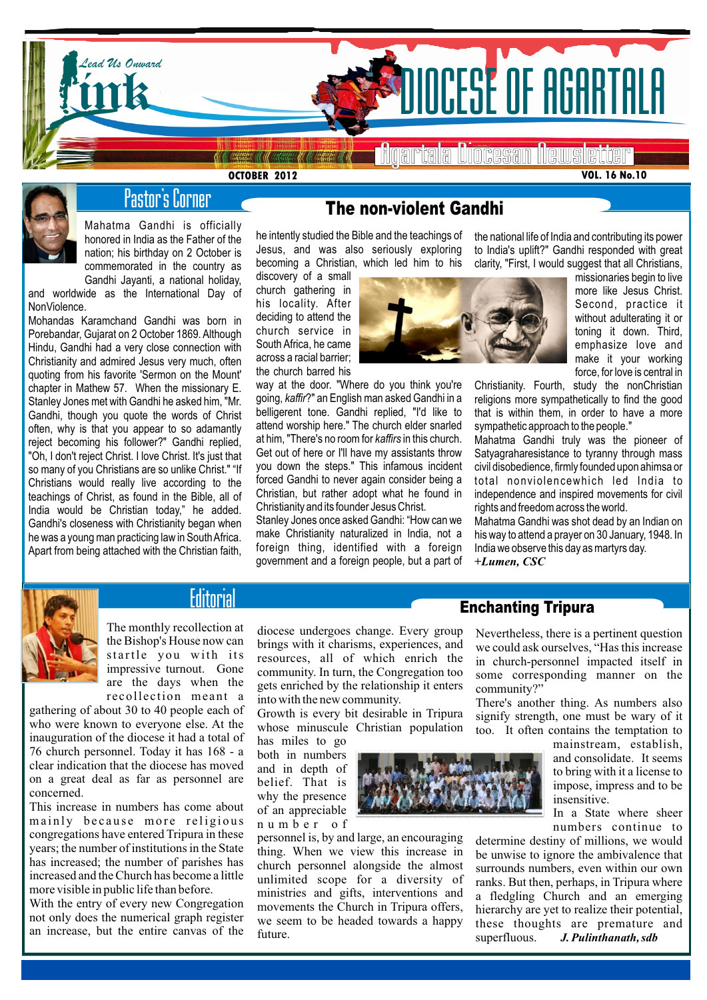

**OCTOBER 2012**

**VOL. 16 No.10**



# Pastor's Corner

Mahatma Gandhi is officially honored in India as the Father of the nation; his birthday on 2 October is commemorated in the country as Gandhi Jayanti, a national holiday,

and worldwide as the International Day of NonViolence.

Mohandas Karamchand Gandhi was born in Porebandar, Gujarat on 2 October 1869. Although Hindu, Gandhi had a very close connection with Christianity and admired Jesus very much, often quoting from his favorite 'Sermon on the Mount' chapter in Mathew 57. When the missionary E. Stanley Jones met with Gandhi he asked him, "Mr. Gandhi, though you quote the words of Christ often, why is that you appear to so adamantly reject becoming his follower?" Gandhi replied, "Oh, I don't reject Christ. I love Christ. It's just that so many of you Christians are so unlike Christ." "If Christians would really live according to the teachings of Christ, as found in the Bible, all of India would be Christian today," he added. Gandhi's closeness with Christianity began when he was a young man practicing law in South Africa. Apart from being attached with the Christian faith,

# The non-violent Gandhi

he intently studied the Bible and the teachings of Jesus, and was also seriously exploring becoming a Christian, which led him to his

discovery of a small church gathering in his locality. After deciding to attend the church service in South Africa, he came across a racial barrier; the church barred his

way at the door. "Where do you think you're going, *kaffir*?" an English man asked Gandhi in a belligerent tone. Gandhi replied, "I'd like to attend worship here." The church elder snarled at him, "There's no room for *kaffirs* in this church. Get out of here or I'll have my assistants throw you down the steps." This infamous incident forced Gandhi to never again consider being a Christian, but rather adopt what he found in Christianity and its founder Jesus Christ.

Stanley Jones once asked Gandhi: "How can we make Christianity naturalized in India, not a foreign thing, identified with a foreian government and a foreign people, but a part of



to India's uplift?" Gandhi responded with great clarity, "First, I would suggest that all Christians, missionaries begin to live more like Jesus Christ.

the national life of India and contributing its power

Second, practice it without adulterating it or toning it down. Third, emphasize love and make it your working force, for love is central in

Christianity. Fourth, study the nonChristian religions more sympathetically to find the good that is within them, in order to have a more sympathetic approach to the people."

Mahatma Gandhi truly was the pioneer of Satyagraharesistance to tyranny through mass civil disobedience, firmly founded upon ahimsa or total nonviolencewhich led India to independence and inspired movements for civil rights and freedom across the world.

Mahatma Gandhi was shot dead by an Indian on his way to attend a prayer on 30 January, 1948. In India we observe this day as martyrs day. **+***Lumen, CSC*



# **Editorial**

The monthly recollection at the Bishop's House now can startle you with its impressive turnout. Gone are the days when the recollection meant a

gathering of about 30 to 40 people each of who were known to everyone else. At the inauguration of the diocese it had a total of 76 church personnel. Today it has 168 - a clear indication that the diocese has moved on a great deal as far as personnel are concerned.

This increase in numbers has come about mainly because more religious congregations have entered Tripura in these years; the number of institutions in the State has increased; the number of parishes has increased and the Church has become a little more visible in public life than before.

With the entry of every new Congregation not only does the numerical graph register an increase, but the entire canvas of the diocese undergoes change. Every group brings with it charisms, experiences, and resources, all of which enrich the community. In turn, the Congregation too gets enriched by the relationship it enters into with the new community.

Growth is every bit desirable in Tripura whose minuscule Christian population

has miles to go both in numbers and in depth of belief. That is why the presence of an appreciable n u m b e r o f

personnel is, by and large, an encouraging thing. When we view this increase in church personnel alongside the almost unlimited scope for a diversity of ministries and gifts, interventions and movements the Church in Tripura offers, we seem to be headed towards a happy future.



Enchanting Tripura

Nevertheless, there is a pertinent question we could ask ourselves, "Has this increase in church-personnel impacted itself in some corresponding manner on the community?"

There's another thing. As numbers also signify strength, one must be wary of it too. It often contains the temptation to

> mainstream, establish, and consolidate. It seems to bring with it a license to impose, impress and to be insensitive.

> In a State where sheer numbers continue to

determine destiny of millions, we would be unwise to ignore the ambivalence that surrounds numbers, even within our own ranks. But then, perhaps, in Tripura where a fledgling Church and an emerging hierarchy are yet to realize their potential, these thoughts are premature and<br>superfluous. J. Pulinthanath. sdb superfluous. *J. Pulinthanath, sdb*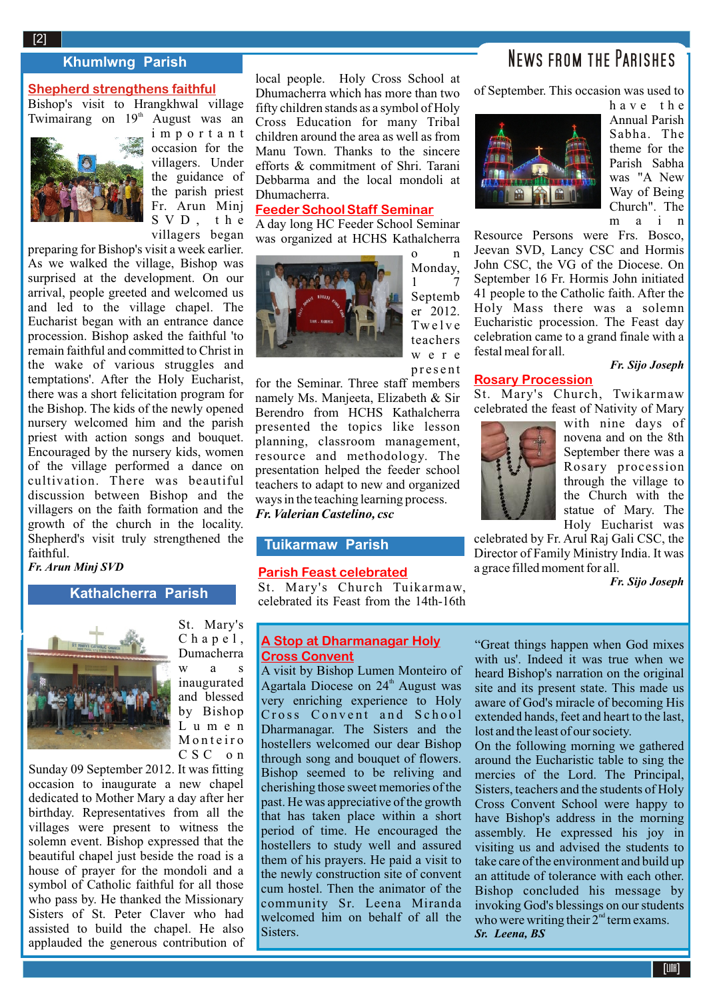# News from the Parishes

#### **Khumlwng Parish**

### **Shepherd strengthens faithful**

Bishop's visit to Hrangkhwal village Twimairang on  $19<sup>th</sup>$  August was an



i m p o r t a n t occasion for the villagers. Under the guidance of the parish priest Fr. Arun Minj S V D , t h e villagers began

preparing for Bishop's visit a week earlier. As we walked the village, Bishop was surprised at the development. On our arrival, people greeted and welcomed us and led to the village chapel. The Eucharist began with an entrance dance procession. Bishop asked the faithful 'to remain faithful and committed to Christ in the wake of various struggles and temptations'. After the Holy Eucharist, there was a short felicitation program for the Bishop. The kids of the newly opened nursery welcomed him and the parish priest with action songs and bouquet. Encouraged by the nursery kids, women of the village performed a dance on cultivation. There was beautiful discussion between Bishop and the villagers on the faith formation and the growth of the church in the locality. Shepherd's visit truly strengthened the faithful.

*Fr. Arun Minj SVD*

### **Kathalcherra Parish**



St. Mary's  $C$  h a p e  $1$ , Dumacherra w a s inaugurated and blessed by Bishop L u m e n M o n t e i r o C S C on

Sunday 09 September 2012. It was fitting occasion to inaugurate a new chapel dedicated to Mother Mary a day after her birthday. Representatives from all the villages were present to witness the solemn event. Bishop expressed that the beautiful chapel just beside the road is a house of prayer for the mondoli and a symbol of Catholic faithful for all those who pass by. He thanked the Missionary Sisters of St. Peter Claver who had assisted to build the chapel. He also applauded the generous contribution of local people. Holy Cross School at Dhumacherra which has more than two fifty children stands as a symbol of Holy Cross Education for many Tribal children around the area as well as from Manu Town. Thanks to the sincere efforts & commitment of Shri. Tarani Debbarma and the local mondoli at Dhumacherra.

#### **Feeder School Staff Seminar**

A day long HC Feeder School Seminar was organized at HCHS Kathalcherra



o n Monday, **1** Septemb  $er$  2012. Tw e l v e teachers w e r e p r e s e n t

for the Seminar. Three staff members namely Ms. Manjeeta, Elizabeth & Sir Berendro from HCHS Kathalcherra presented the topics like lesson planning, classroom management, resource and methodology. The presentation helped the feeder school teachers to adapt to new and organized ways in the teaching learning process. *Fr. Valerian Castelino, csc*

## **Tuikarmaw Parish**

### **Parish Feast celebrated**

St. Mary's Church Tuikarmaw, celebrated its Feast from the 14th-16th

#### **A Stop at Dharmanagar Holy Cross Convent**

A visit by Bishop Lumen Monteiro of Agartala Diocese on 24<sup>th</sup> August was very enriching experience to Holy Cross Convent and School Dharmanagar. The Sisters and the hostellers welcomed our dear Bishop through song and bouquet of flowers. Bishop seemed to be reliving and cherishing those sweet memories of the past. He was appreciative of the growth that has taken place within a short period of time. He encouraged the hostellers to study well and assured them of his prayers. He paid a visit to the newly construction site of convent cum hostel. Then the animator of the community Sr. Leena Miranda welcomed him on behalf of all the Sisters.

of September. This occasion was used to



h a v e t h e Annual Parish Sabha. The theme for the Parish Sabha was "A New Way of Being Church". The m a i n

Resource Persons were Frs. Bosco, Jeevan SVD, Lancy CSC and Hormis John CSC, the VG of the Diocese. On September 16 Fr. Hormis John initiated 41 people to the Catholic faith. After the Holy Mass there was a solemn Eucharistic procession. The Feast day celebration came to a grand finale with a festal meal for all.

*Fr. Sijo Joseph*

#### **Rosary Procession**

St. Mary's Church, Twikarmaw celebrated the feast of Nativity of Mary



with nine days of novena and on the 8th September there was a Rosary procession through the village to the Church with the statue of Mary. The Holy Eucharist was

celebrated by Fr. Arul Raj Gali CSC, the Director of Family Ministry India. It was a grace filled moment for all.

*Fr. Sijo Joseph*

"Great things happen when God mixes with us'. Indeed it was true when we heard Bishop's narration on the original site and its present state. This made us aware of God's miracle of becoming His extended hands, feet and heart to the last, lost and the least of our society.

On the following morning we gathered around the Eucharistic table to sing the mercies of the Lord. The Principal, Sisters, teachers and the students of Holy Cross Convent School were happy to have Bishop's address in the morning assembly. He expressed his joy in visiting us and advised the students to take care of the environment and build up an attitude of tolerance with each other. Bishop concluded his message by invoking God's blessings on our students who were writing their  $2<sup>nd</sup>$  term exams. *Sr. Leena, BS*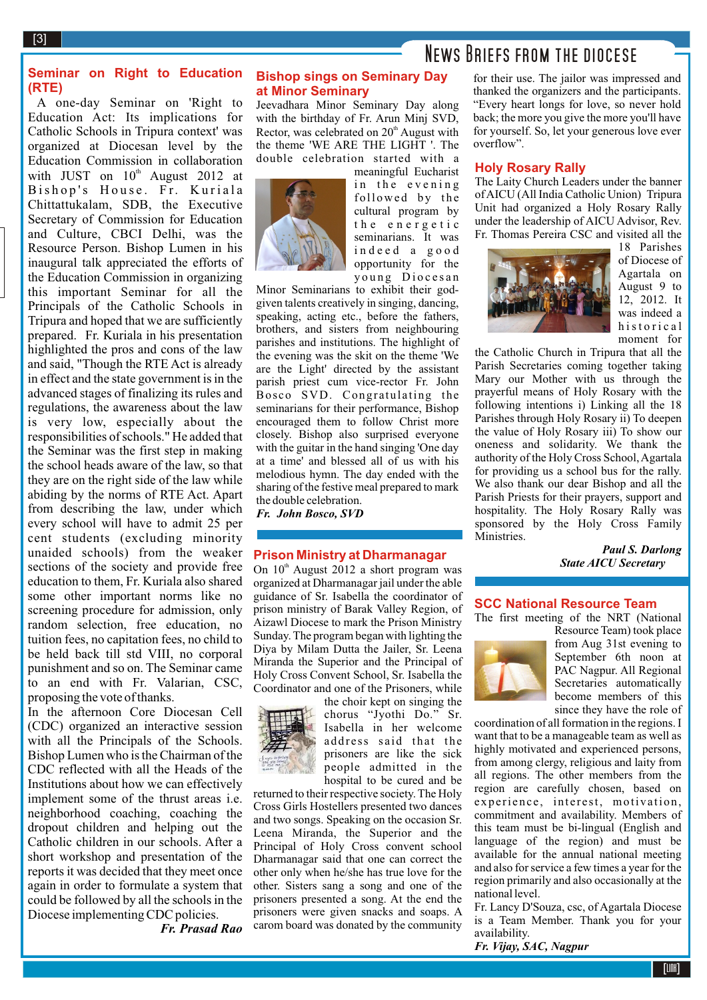News Briefs from the diocese

### **Seminar on Right to Education (RTE)**

A one-day Seminar on 'Right to Education Act: Its implications for Catholic Schools in Tripura context' was organized at Diocesan level by the Education Commission in collaboration with JUST on  $10^{th}$  August 2012 at Bishop's House. Fr. Kuriala Chittattukalam, SDB, the Executive Secretary of Commission for Education and Culture, CBCI Delhi, was the Resource Person. Bishop Lumen in his inaugural talk appreciated the efforts of the Education Commission in organizing this important Seminar for all the Principals of the Catholic Schools in Tripura and hoped that we are sufficiently prepared. Fr. Kuriala in his presentation highlighted the pros and cons of the law and said, "Though the RTE Act is already in effect and the state government is in the advanced stages of finalizing its rules and regulations, the awareness about the law is very low, especially about the responsibilities of schools." He added that the Seminar was the first step in making the school heads aware of the law, so that they are on the right side of the law while abiding by the norms of RTE Act. Apart from describing the law, under which every school will have to admit 25 per cent students (excluding minority unaided schools) from the weaker sections of the society and provide free education to them, Fr. Kuriala also shared some other important norms like no screening procedure for admission, only random selection, free education, no tuition fees, no capitation fees, no child to be held back till std VIII, no corporal punishment and so on. The Seminar came to an end with Fr. Valarian, CSC, proposing the vote of thanks.

In the afternoon Core Diocesan Cell (CDC) organized an interactive session with all the Principals of the Schools. Bishop Lumen who is the Chairman of the CDC reflected with all the Heads of the Institutions about how we can effectively implement some of the thrust areas i.e. neighborhood coaching, coaching the dropout children and helping out the Catholic children in our schools. After a short workshop and presentation of the reports it was decided that they meet once again in order to formulate a system that could be followed by all the schools in the Diocese implementing CDC policies.

*Fr. Prasad Rao*

#### **Bishop sings on Seminary Day at Minor Seminary**

Jeevadhara Minor Seminary Day along with the birthday of Fr. Arun Minj SVD, Rector, was celebrated on  $20<sup>th</sup>$  August with the theme 'WE ARE THE LIGHT '. The double celebration started with a



meaningful Eucharist in the evening followed by the cultural program by the energetic seminarians. It was i n d e e d a g o o d opportunity for the young Diocesan

Minor Seminarians to exhibit their godgiven talents creatively in singing, dancing, speaking, acting etc., before the fathers, brothers, and sisters from neighbouring parishes and institutions. The highlight of the evening was the skit on the theme 'We are the Light' directed by the assistant parish priest cum vice-rector Fr. John Bosco SVD. Congratulating the seminarians for their performance, Bishop encouraged them to follow Christ more closely. Bishop also surprised everyone with the guitar in the hand singing 'One day at a time' and blessed all of us with his melodious hymn. The day ended with the sharing of the festive meal prepared to mark the double celebration.

*Fr. John Bosco, SVD*

#### **Prison Ministry at Dharmanagar**

On  $10<sup>th</sup>$  August 2012 a short program was organized at Dharmanagar jail under the able guidance of Sr. Isabella the coordinator of prison ministry of Barak Valley Region, of Aizawl Diocese to mark the Prison Ministry Sunday. The program began with lighting the Diya by Milam Dutta the Jailer, Sr. Leena Miranda the Superior and the Principal of Holy Cross Convent School, Sr. Isabella the Coordinator and one of the Prisoners, while



the choir kept on singing the chorus "Jyothi Do." Sr. Isabella in her welcome address said that the prisoners are like the sick people admitted in the hospital to be cured and be

returned to their respective society. The Holy Cross Girls Hostellers presented two dances and two songs. Speaking on the occasion Sr. Leena Miranda, the Superior and the Principal of Holy Cross convent school Dharmanagar said that one can correct the other only when he/she has true love for the other. Sisters sang a song and one of the prisoners presented a song. At the end the prisoners were given snacks and soaps. A carom board was donated by the community

for their use. The jailor was impressed and thanked the organizers and the participants. "Every heart longs for love, so never hold back; the more you give the more you'll have for yourself. So, let your generous love ever overflow".

#### **Holy Rosary Rally**

The Laity Church Leaders under the banner of AICU (All India Catholic Union) Tripura Unit had organized a Holy Rosary Rally under the leadership of AICU Advisor, Rev. Fr. Thomas Pereira CSC and visited all the



18 Parishes of Diocese of Agartala on August 9 to 12, 2012. It was indeed a historical moment for

the Catholic Church in Tripura that all the Parish Secretaries coming together taking Mary our Mother with us through the prayerful means of Holy Rosary with the following intentions i) Linking all the 18 Parishes through Holy Rosary ii) To deepen the value of Holy Rosary iii) To show our oneness and solidarity. We thank the authority of the Holy Cross School, Agartala for providing us a school bus for the rally. We also thank our dear Bishop and all the Parish Priests for their prayers, support and hospitality. The Holy Rosary Rally was sponsored by the Holy Cross Family Ministries.

> *Paul S. Darlong State AICU Secretary*

#### **SCC National Resource Team**

The first meeting of the NRT (National



Resource Team) took place from Aug 31st evening to September 6th noon at PAC Nagpur. All Regional Secretaries automatically become members of this since they have the role of

coordination of all formation in the regions. I want that to be a manageable team as well as highly motivated and experienced persons, from among clergy, religious and laity from all regions. The other members from the region are carefully chosen, based on experience, interest, motivation, commitment and availability. Members of this team must be bi-lingual (English and language of the region) and must be available for the annual national meeting and also for service a few times a year for the region primarily and also occasionally at the national level.

Fr. Lancy D'Souza, csc, of Agartala Diocese is a Team Member. Thank you for your availability.

*Fr. Vijay, SAC, Nagpur*

[3]